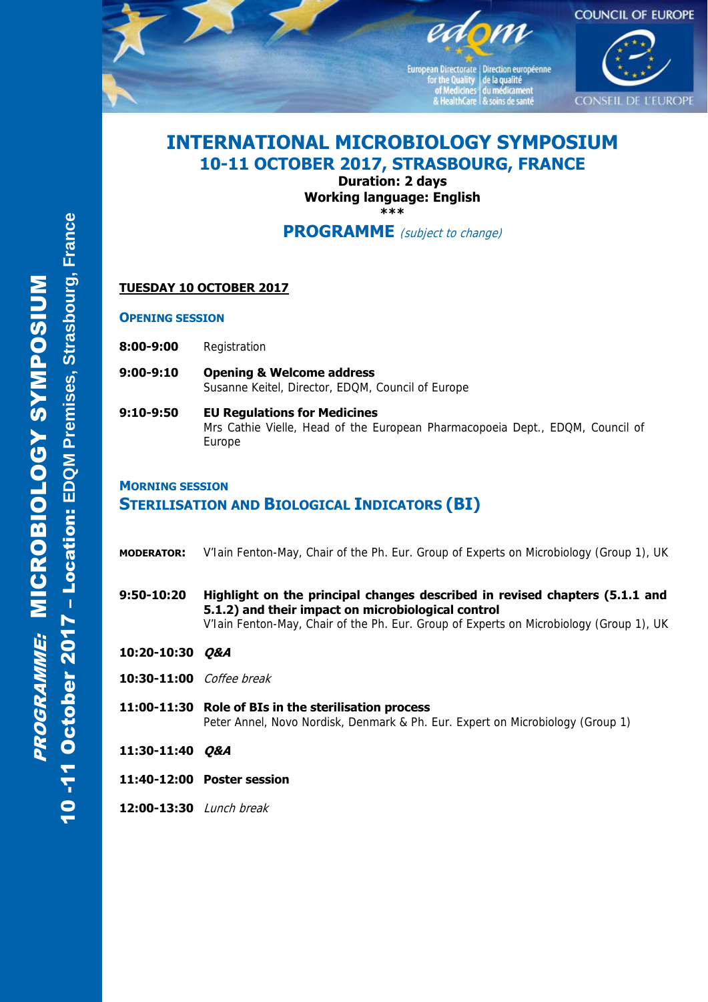

European Directorate | Direction européenne for the Quality<br>
of Medicines<br>
& HealthCare<br>
& soins de santé



# **INTERNATIONAL MICROBIOLOGY SYMPOSIUM 10-11 OCTOBER 2017, STRASBOURG, FRANCE**

**Duration: 2 days Working language: English \*\*\*** 

**PROGRAMME** (subject to change)

### **TUESDAY 10 OCTOBER 2017**

**OPENING SESSION**

- **8:00-9:00** Registration
- **9:00-9:10 Opening & Welcome address**  Susanne Keitel, Director, EDQM, Council of Europe
- **9:10-9:50 EU Regulations for Medicines**  Mrs Cathie Vielle, Head of the European Pharmacopoeia Dept., EDQM, Council of Europe

### **MORNING SESSION STERILISATION AND BIOLOGICAL INDICATORS (BI)**

- **MODERATOR:** V'Iain Fenton-May, Chair of the Ph. Eur. Group of Experts on Microbiology (Group 1), UK
- **9:50-10:20 Highlight on the principal changes described in revised chapters (5.1.1 and 5.1.2) and their impact on microbiological control**  V'Iain Fenton-May, Chair of the Ph. Eur. Group of Experts on Microbiology (Group 1), UK
- **10:20-10:30 Q&A**
- **10:30-11:00** Coffee break
- **11:00-11:30 Role of BIs in the sterilisation process**  Peter Annel, Novo Nordisk, Denmark & Ph. Eur. Expert on Microbiology (Group 1)
- **11:30-11:40 Q&A**
- **11:40-12:00 Poster session**
- **12:00-13:30** Lunch break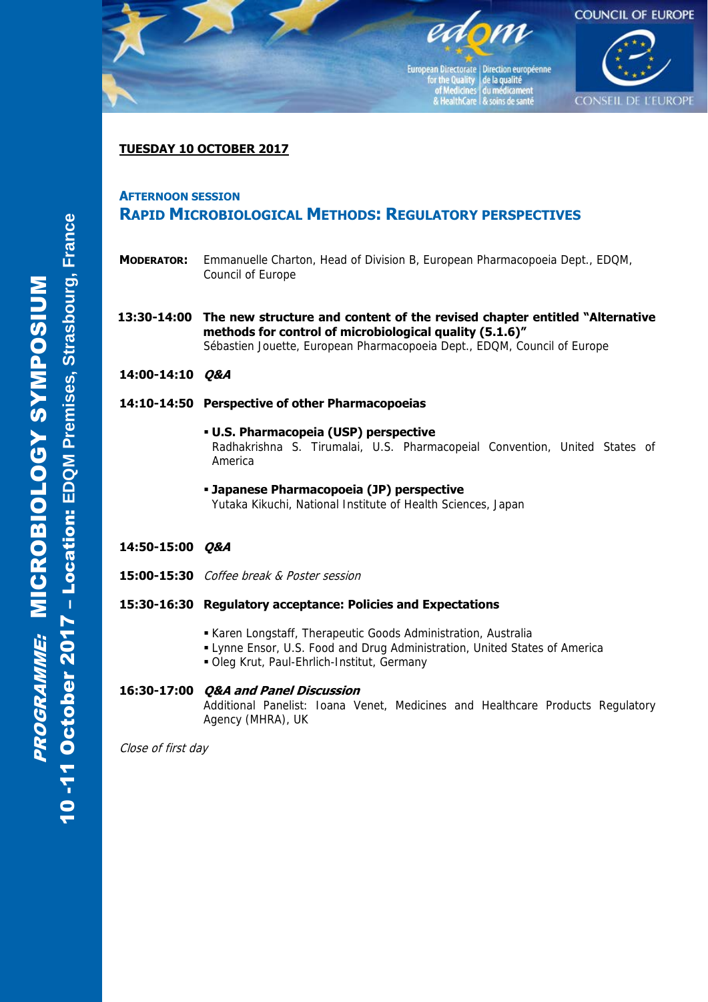

European Directorate | Direction européenne For the Quality<br>
of Medicines<br>
du médicament<br>
& HealthCare<br>
& soins de santé



### **TUESDAY 10 OCTOBER 2017**

#### **AFTERNOON SESSION**

# **RAPID MICROBIOLOGICAL METHODS: REGULATORY PERSPECTIVES**

- **MODERATOR:** Emmanuelle Charton, Head of Division B, European Pharmacopoeia Dept., EDQM, Council of Europe
- **13:30-14:00 The new structure and content of the revised chapter entitled "Alternative methods for control of microbiological quality (5.1.6)"**  Sébastien Jouette, European Pharmacopoeia Dept., EDQM, Council of Europe
- **14:00-14:10 Q&A**

#### **14:10-14:50 Perspective of other Pharmacopoeias**

- **U.S. Pharmacopeia (USP) perspective**  Radhakrishna S. Tirumalai, U.S. Pharmacopeial Convention, United States of America
- **Japanese Pharmacopoeia (JP) perspective**  Yutaka Kikuchi, National Institute of Health Sciences, Japan
- **14:50-15:00 Q&A**
- **15:00-15:30** Coffee break & Poster session

#### **15:30-16:30 Regulatory acceptance: Policies and Expectations**

- Karen Longstaff, Therapeutic Goods Administration, Australia
- Lynne Ensor, U.S. Food and Drug Administration, United States of America
- Oleg Krut, Paul-Ehrlich-Institut, Germany

#### **16:30-17:00 Q&A and Panel Discussion**

 Additional Panelist: Ioana Venet, Medicines and Healthcare Products Regulatory Agency (MHRA), UK

Close of first day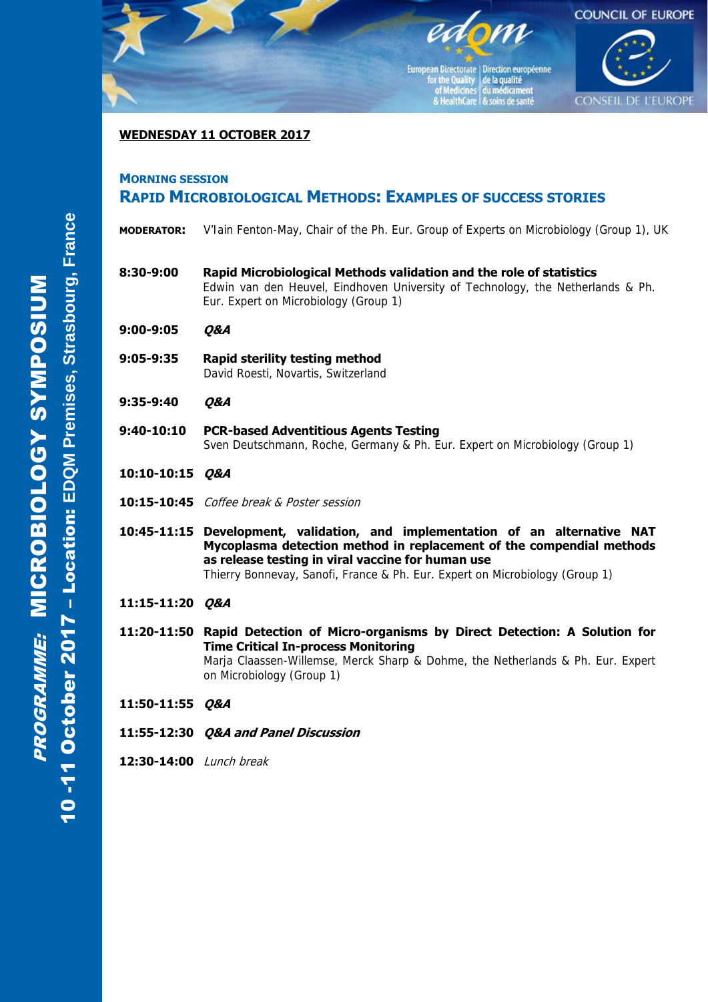

### **WEDNESDAY 11 OCTOBER 2017**

## **MORNING SESSION RAPID MICROBIOLOGICAL METHODS: EXAMPLES OF SUCCESS STORIES**

- **MODERATOR:** V'Iain Fenton-May, Chair of the Ph. Eur. Group of Experts on Microbiology (Group 1), UK
- **8:30-9:00 Rapid Microbiological Methods validation and the role of statistics**  Edwin van den Heuvel, Eindhoven University of Technology, the Netherlands & Ph. Eur. Expert on Microbiology (Group 1)
- **9:00-9:05 Q&A**
- **9:05-9:35 Rapid sterility testing method** David Roesti, Novartis, Switzerland
- **9:35-9:40 Q&A**
- **9:40-10:10 PCR-based Adventitious Agents Testing** Sven Deutschmann, Roche, Germany & Ph. Eur. Expert on Microbiology (Group 1)
- **10:10-10:15 Q&A**
- **10:15-10:45** Coffee break & Poster session
- **10:45-11:15 Development, validation, and implementation of an alternative NAT Mycoplasma detection method in replacement of the compendial methods as release testing in viral vaccine for human use**  Thierry Bonnevay, Sanofi, France & Ph. Eur. Expert on Microbiology (Group 1)
- **11:15-11:20 Q&A**
- **11:20-11:50 Rapid Detection of Micro-organisms by Direct Detection: A Solution for Time Critical In-process Monitoring** Marja Claassen-Willemse, Merck Sharp & Dohme, the Netherlands & Ph. Eur. Expert on Microbiology (Group 1)
- **11:50-11:55 Q&A**
- **11:55-12:30 Q&A and Panel Discussion**
- **12:30-14:00** Lunch break